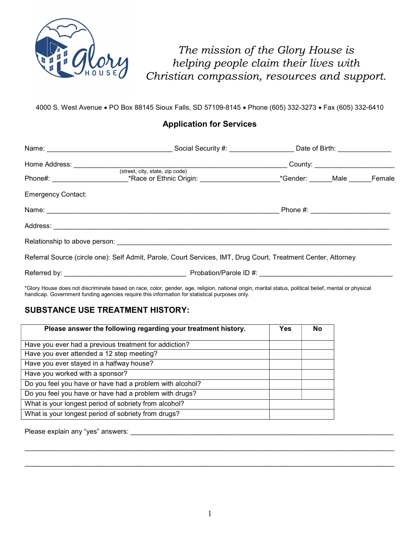

The mission of the Glory House is helping people claim their lives with Christian compassion, resources and support.

4000 S. West Avenue PO Box 88145 Sioux Falls, SD 57109-8145 Phone (605) 332-3273 Fax (605) 332-6410

### Application for Services

|                           |                                                                                                                |                                  | Social Security #: ___________________________ Date of Birth: __________________ |        |
|---------------------------|----------------------------------------------------------------------------------------------------------------|----------------------------------|----------------------------------------------------------------------------------|--------|
| Home Address:             |                                                                                                                |                                  | County: ______________________                                                   |        |
|                           | (street, city, state, zip code)<br>*Race or Ethnic Origin: _________________                                   | *Gender: ______Male __           |                                                                                  | Female |
| <b>Emergency Contact:</b> |                                                                                                                |                                  |                                                                                  |        |
|                           | Name: 2008. 2008. 2009. 2009. 2009. 2009. 2009. 2009. 2009. 2009. 2009. 2009. 2009. 2009. 2009. 2009. 2009. 20 | Phone #: _______________________ |                                                                                  |        |
|                           |                                                                                                                |                                  |                                                                                  |        |
|                           |                                                                                                                |                                  |                                                                                  |        |
|                           | Referral Source (circle one): Self Admit, Parole, Court Services, IMT, Drug Court, Treatment Center, Attorney  |                                  |                                                                                  |        |
| Referred by:              | Probation/Parole ID #:                                                                                         |                                  |                                                                                  |        |

\*Glory House does not discriminate based on race, color, gender, age, religion, national origin, marital status, political belief, mental or physical handicap. Government funding agencies require this information for statistical purposes only.

#### SUBSTANCE USE TREATMENT HISTORY:

| Please answer the following regarding your treatment history. |  | No |
|---------------------------------------------------------------|--|----|
| Have you ever had a previous treatment for addiction?         |  |    |
| Have you ever attended a 12 step meeting?                     |  |    |
| Have you ever stayed in a halfway house?                      |  |    |
| Have you worked with a sponsor?                               |  |    |
| Do you feel you have or have had a problem with alcohol?      |  |    |
| Do you feel you have or have had a problem with drugs?        |  |    |
| What is your longest period of sobriety from alcohol?         |  |    |
| What is your longest period of sobriety from drugs?           |  |    |

Please explain any "yes" answers:

 $\mathcal{L}_\mathcal{L} = \mathcal{L}_\mathcal{L} = \mathcal{L}_\mathcal{L} = \mathcal{L}_\mathcal{L} = \mathcal{L}_\mathcal{L} = \mathcal{L}_\mathcal{L} = \mathcal{L}_\mathcal{L} = \mathcal{L}_\mathcal{L} = \mathcal{L}_\mathcal{L} = \mathcal{L}_\mathcal{L} = \mathcal{L}_\mathcal{L} = \mathcal{L}_\mathcal{L} = \mathcal{L}_\mathcal{L} = \mathcal{L}_\mathcal{L} = \mathcal{L}_\mathcal{L} = \mathcal{L}_\mathcal{L} = \mathcal{L}_\mathcal{L}$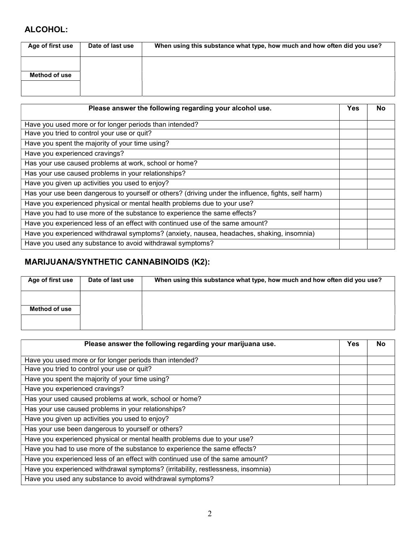## ALCOHOL:

| Age of first use | Date of last use | When using this substance what type, how much and how often did you use? |
|------------------|------------------|--------------------------------------------------------------------------|
| Method of use    |                  |                                                                          |
|                  |                  |                                                                          |

| Please answer the following regarding your alcohol use.                                             | Yes | No |
|-----------------------------------------------------------------------------------------------------|-----|----|
| Have you used more or for longer periods than intended?                                             |     |    |
| Have you tried to control your use or quit?                                                         |     |    |
| Have you spent the majority of your time using?                                                     |     |    |
| Have you experienced cravings?                                                                      |     |    |
| Has your use caused problems at work, school or home?                                               |     |    |
| Has your use caused problems in your relationships?                                                 |     |    |
| Have you given up activities you used to enjoy?                                                     |     |    |
| Has your use been dangerous to yourself or others? (driving under the influence, fights, self harm) |     |    |
| Have you experienced physical or mental health problems due to your use?                            |     |    |
| Have you had to use more of the substance to experience the same effects?                           |     |    |
| Have you experienced less of an effect with continued use of the same amount?                       |     |    |
| Have you experienced withdrawal symptoms? (anxiety, nausea, headaches, shaking, insomnia)           |     |    |
| Have you used any substance to avoid withdrawal symptoms?                                           |     |    |

# MARIJUANA/SYNTHETIC CANNABINOIDS (K2):

| Age of first use | Date of last use | When using this substance what type, how much and how often did you use? |
|------------------|------------------|--------------------------------------------------------------------------|
|                  |                  |                                                                          |
| Method of use    |                  |                                                                          |
|                  |                  |                                                                          |

| Please answer the following regarding your marijuana use.                        | Yes | No |
|----------------------------------------------------------------------------------|-----|----|
| Have you used more or for longer periods than intended?                          |     |    |
| Have you tried to control your use or quit?                                      |     |    |
| Have you spent the majority of your time using?                                  |     |    |
| Have you experienced cravings?                                                   |     |    |
| Has your used caused problems at work, school or home?                           |     |    |
| Has your use caused problems in your relationships?                              |     |    |
| Have you given up activities you used to enjoy?                                  |     |    |
| Has your use been dangerous to yourself or others?                               |     |    |
| Have you experienced physical or mental health problems due to your use?         |     |    |
| Have you had to use more of the substance to experience the same effects?        |     |    |
| Have you experienced less of an effect with continued use of the same amount?    |     |    |
| Have you experienced withdrawal symptoms? (irritability, restlessness, insomnia) |     |    |
| Have you used any substance to avoid withdrawal symptoms?                        |     |    |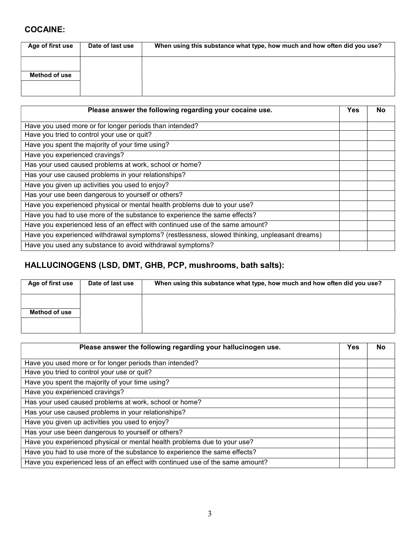## COCAINE:

| Age of first use | Date of last use | When using this substance what type, how much and how often did you use? |
|------------------|------------------|--------------------------------------------------------------------------|
| Method of use    |                  |                                                                          |

| Please answer the following regarding your cocaine use.                                      | Yes | No |
|----------------------------------------------------------------------------------------------|-----|----|
| Have you used more or for longer periods than intended?                                      |     |    |
| Have you tried to control your use or quit?                                                  |     |    |
| Have you spent the majority of your time using?                                              |     |    |
| Have you experienced cravings?                                                               |     |    |
| Has your used caused problems at work, school or home?                                       |     |    |
| Has your use caused problems in your relationships?                                          |     |    |
| Have you given up activities you used to enjoy?                                              |     |    |
| Has your use been dangerous to yourself or others?                                           |     |    |
| Have you experienced physical or mental health problems due to your use?                     |     |    |
| Have you had to use more of the substance to experience the same effects?                    |     |    |
| Have you experienced less of an effect with continued use of the same amount?                |     |    |
| Have you experienced withdrawal symptoms? (restlessness, slowed thinking, unpleasant dreams) |     |    |
| Have you used any substance to avoid withdrawal symptoms?                                    |     |    |

# HALLUCINOGENS (LSD, DMT, GHB, PCP, mushrooms, bath salts):

| Age of first use | Date of last use | When using this substance what type, how much and how often did you use? |
|------------------|------------------|--------------------------------------------------------------------------|
| Method of use    |                  |                                                                          |
|                  |                  |                                                                          |

| Please answer the following regarding your hallucinogen use.                  | Yes | No |
|-------------------------------------------------------------------------------|-----|----|
| Have you used more or for longer periods than intended?                       |     |    |
| Have you tried to control your use or quit?                                   |     |    |
| Have you spent the majority of your time using?                               |     |    |
| Have you experienced cravings?                                                |     |    |
| Has your used caused problems at work, school or home?                        |     |    |
| Has your use caused problems in your relationships?                           |     |    |
| Have you given up activities you used to enjoy?                               |     |    |
| Has your use been dangerous to yourself or others?                            |     |    |
| Have you experienced physical or mental health problems due to your use?      |     |    |
| Have you had to use more of the substance to experience the same effects?     |     |    |
| Have you experienced less of an effect with continued use of the same amount? |     |    |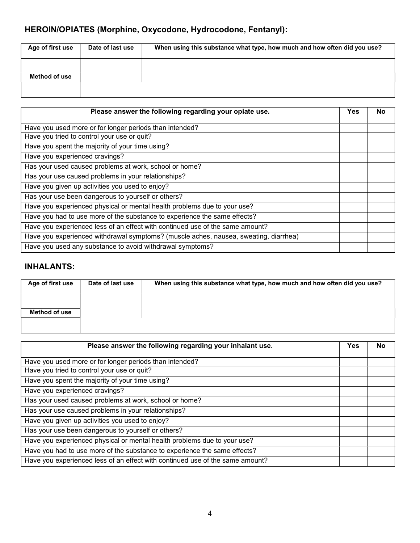# HEROIN/OPIATES (Morphine, Oxycodone, Hydrocodone, Fentanyl):

| Age of first use | Date of last use | When using this substance what type, how much and how often did you use? |
|------------------|------------------|--------------------------------------------------------------------------|
| Method of use    |                  |                                                                          |

| Please answer the following regarding your opiate use.                               | Yes | No. |
|--------------------------------------------------------------------------------------|-----|-----|
| Have you used more or for longer periods than intended?                              |     |     |
| Have you tried to control your use or quit?                                          |     |     |
| Have you spent the majority of your time using?                                      |     |     |
| Have you experienced cravings?                                                       |     |     |
| Has your used caused problems at work, school or home?                               |     |     |
| Has your use caused problems in your relationships?                                  |     |     |
| Have you given up activities you used to enjoy?                                      |     |     |
| Has your use been dangerous to yourself or others?                                   |     |     |
| Have you experienced physical or mental health problems due to your use?             |     |     |
| Have you had to use more of the substance to experience the same effects?            |     |     |
| Have you experienced less of an effect with continued use of the same amount?        |     |     |
| Have you experienced withdrawal symptoms? (muscle aches, nausea, sweating, diarrhea) |     |     |
| Have you used any substance to avoid withdrawal symptoms?                            |     |     |

# INHALANTS:

| Age of first use | Date of last use | When using this substance what type, how much and how often did you use? |
|------------------|------------------|--------------------------------------------------------------------------|
| Method of use    |                  |                                                                          |

| Please answer the following regarding your inhalant use.                      | Yes | No |
|-------------------------------------------------------------------------------|-----|----|
| Have you used more or for longer periods than intended?                       |     |    |
| Have you tried to control your use or quit?                                   |     |    |
| Have you spent the majority of your time using?                               |     |    |
| Have you experienced cravings?                                                |     |    |
| Has your used caused problems at work, school or home?                        |     |    |
| Has your use caused problems in your relationships?                           |     |    |
| Have you given up activities you used to enjoy?                               |     |    |
| Has your use been dangerous to yourself or others?                            |     |    |
| Have you experienced physical or mental health problems due to your use?      |     |    |
| Have you had to use more of the substance to experience the same effects?     |     |    |
| Have you experienced less of an effect with continued use of the same amount? |     |    |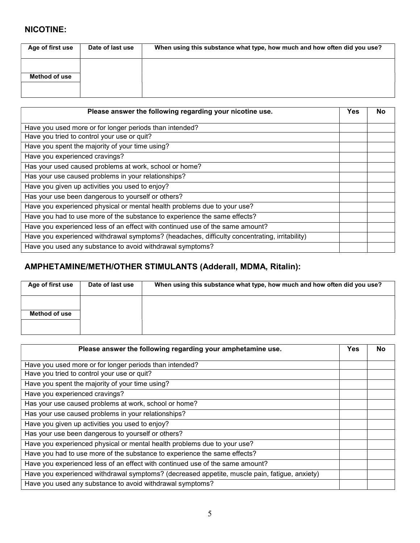### NICOTINE:

| Age of first use | Date of last use | When using this substance what type, how much and how often did you use? |
|------------------|------------------|--------------------------------------------------------------------------|
| Method of use    |                  |                                                                          |
|                  |                  |                                                                          |

| Please answer the following regarding your nicotine use.                                      | Yes | <b>No</b> |
|-----------------------------------------------------------------------------------------------|-----|-----------|
| Have you used more or for longer periods than intended?                                       |     |           |
| Have you tried to control your use or quit?                                                   |     |           |
| Have you spent the majority of your time using?                                               |     |           |
| Have you experienced cravings?                                                                |     |           |
| Has your used caused problems at work, school or home?                                        |     |           |
| Has your use caused problems in your relationships?                                           |     |           |
| Have you given up activities you used to enjoy?                                               |     |           |
| Has your use been dangerous to yourself or others?                                            |     |           |
| Have you experienced physical or mental health problems due to your use?                      |     |           |
| Have you had to use more of the substance to experience the same effects?                     |     |           |
| Have you experienced less of an effect with continued use of the same amount?                 |     |           |
| Have you experienced withdrawal symptoms? (headaches, difficulty concentrating, irritability) |     |           |
| Have you used any substance to avoid withdrawal symptoms?                                     |     |           |

# AMPHETAMINE/METH/OTHER STIMULANTS (Adderall, MDMA, Ritalin):

| Age of first use | Date of last use | When using this substance what type, how much and how often did you use? |
|------------------|------------------|--------------------------------------------------------------------------|
| Method of use    |                  |                                                                          |

| Please answer the following regarding your amphetamine use.                                   | Yes | No |
|-----------------------------------------------------------------------------------------------|-----|----|
| Have you used more or for longer periods than intended?                                       |     |    |
| Have you tried to control your use or quit?                                                   |     |    |
| Have you spent the majority of your time using?                                               |     |    |
| Have you experienced cravings?                                                                |     |    |
| Has your use caused problems at work, school or home?                                         |     |    |
| Has your use caused problems in your relationships?                                           |     |    |
| Have you given up activities you used to enjoy?                                               |     |    |
| Has your use been dangerous to yourself or others?                                            |     |    |
| Have you experienced physical or mental health problems due to your use?                      |     |    |
| Have you had to use more of the substance to experience the same effects?                     |     |    |
| Have you experienced less of an effect with continued use of the same amount?                 |     |    |
| Have you experienced withdrawal symptoms? (decreased appetite, muscle pain, fatigue, anxiety) |     |    |
| Have you used any substance to avoid withdrawal symptoms?                                     |     |    |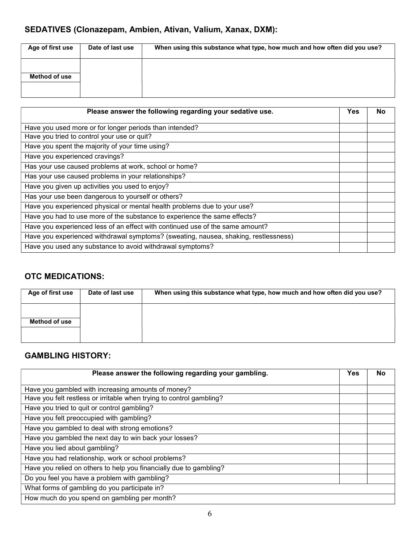# SEDATIVES (Clonazepam, Ambien, Ativan, Valium, Xanax, DXM):

| Age of first use | Date of last use | When using this substance what type, how much and how often did you use? |
|------------------|------------------|--------------------------------------------------------------------------|
| Method of use    |                  |                                                                          |
|                  |                  |                                                                          |

| Please answer the following regarding your sedative use.                            | Yes | No |
|-------------------------------------------------------------------------------------|-----|----|
| Have you used more or for longer periods than intended?                             |     |    |
| Have you tried to control your use or quit?                                         |     |    |
| Have you spent the majority of your time using?                                     |     |    |
| Have you experienced cravings?                                                      |     |    |
| Has your use caused problems at work, school or home?                               |     |    |
| Has your use caused problems in your relationships?                                 |     |    |
| Have you given up activities you used to enjoy?                                     |     |    |
| Has your use been dangerous to yourself or others?                                  |     |    |
| Have you experienced physical or mental health problems due to your use?            |     |    |
| Have you had to use more of the substance to experience the same effects?           |     |    |
| Have you experienced less of an effect with continued use of the same amount?       |     |    |
| Have you experienced withdrawal symptoms? (sweating, nausea, shaking, restlessness) |     |    |
| Have you used any substance to avoid withdrawal symptoms?                           |     |    |

### OTC MEDICATIONS:

| Age of first use | Date of last use | When using this substance what type, how much and how often did you use? |
|------------------|------------------|--------------------------------------------------------------------------|
| Method of use    |                  |                                                                          |
|                  |                  |                                                                          |

## GAMBLING HISTORY:

| Please answer the following regarding your gambling.                 | Yes | <b>No</b> |
|----------------------------------------------------------------------|-----|-----------|
| Have you gambled with increasing amounts of money?                   |     |           |
| Have you felt restless or irritable when trying to control gambling? |     |           |
| Have you tried to quit or control gambling?                          |     |           |
| Have you felt preoccupied with gambling?                             |     |           |
| Have you gambled to deal with strong emotions?                       |     |           |
| Have you gambled the next day to win back your losses?               |     |           |
| Have you lied about gambling?                                        |     |           |
| Have you had relationship, work or school problems?                  |     |           |
| Have you relied on others to help you financially due to gambling?   |     |           |
| Do you feel you have a problem with gambling?                        |     |           |
| What forms of gambling do you participate in?                        |     |           |
| How much do you spend on gambling per month?                         |     |           |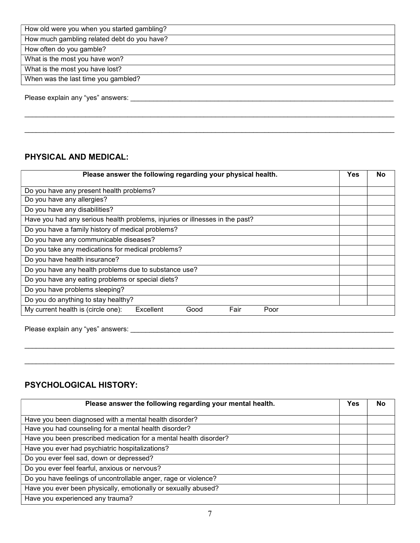How much gambling related debt do you have?

How often do you gamble?

What is the most you have won?

What is the most you have lost?

When was the last time you gambled?

Please explain any "yes" answers: \_\_\_\_\_\_\_\_\_\_\_\_\_\_\_\_\_\_\_\_\_\_\_\_\_\_\_\_\_\_\_\_\_\_\_\_\_\_\_\_\_\_\_\_\_\_\_\_\_\_\_\_\_\_\_\_\_\_\_\_\_\_\_\_\_\_\_\_\_

#### PHYSICAL AND MEDICAL:

| Please answer the following regarding your physical health.                  | Yes | No |
|------------------------------------------------------------------------------|-----|----|
| Do you have any present health problems?                                     |     |    |
| Do you have any allergies?                                                   |     |    |
| Do you have any disabilities?                                                |     |    |
| Have you had any serious health problems, injuries or illnesses in the past? |     |    |
| Do you have a family history of medical problems?                            |     |    |
| Do you have any communicable diseases?                                       |     |    |
| Do you take any medications for medical problems?                            |     |    |
| Do you have health insurance?                                                |     |    |
| Do you have any health problems due to substance use?                        |     |    |
| Do you have any eating problems or special diets?                            |     |    |
| Do you have problems sleeping?                                               |     |    |
| Do you do anything to stay healthy?                                          |     |    |
| My current health is (circle one):<br>Fair<br>Excellent<br>Poor<br>Good      |     |    |
|                                                                              |     |    |

 $\mathcal{L}_\mathcal{L} = \{ \mathcal{L}_\mathcal{L} = \{ \mathcal{L}_\mathcal{L} = \{ \mathcal{L}_\mathcal{L} = \{ \mathcal{L}_\mathcal{L} = \{ \mathcal{L}_\mathcal{L} = \{ \mathcal{L}_\mathcal{L} = \{ \mathcal{L}_\mathcal{L} = \{ \mathcal{L}_\mathcal{L} = \{ \mathcal{L}_\mathcal{L} = \{ \mathcal{L}_\mathcal{L} = \{ \mathcal{L}_\mathcal{L} = \{ \mathcal{L}_\mathcal{L} = \{ \mathcal{L}_\mathcal{L} = \{ \mathcal{L}_\mathcal{$ 

 $\mathcal{L}_\mathcal{L} = \mathcal{L}_\mathcal{L} = \mathcal{L}_\mathcal{L} = \mathcal{L}_\mathcal{L} = \mathcal{L}_\mathcal{L} = \mathcal{L}_\mathcal{L} = \mathcal{L}_\mathcal{L} = \mathcal{L}_\mathcal{L} = \mathcal{L}_\mathcal{L} = \mathcal{L}_\mathcal{L} = \mathcal{L}_\mathcal{L} = \mathcal{L}_\mathcal{L} = \mathcal{L}_\mathcal{L} = \mathcal{L}_\mathcal{L} = \mathcal{L}_\mathcal{L} = \mathcal{L}_\mathcal{L} = \mathcal{L}_\mathcal{L}$ 

 $\mathcal{L}_\mathcal{L} = \{ \mathcal{L}_\mathcal{L} = \{ \mathcal{L}_\mathcal{L} = \{ \mathcal{L}_\mathcal{L} = \{ \mathcal{L}_\mathcal{L} = \{ \mathcal{L}_\mathcal{L} = \{ \mathcal{L}_\mathcal{L} = \{ \mathcal{L}_\mathcal{L} = \{ \mathcal{L}_\mathcal{L} = \{ \mathcal{L}_\mathcal{L} = \{ \mathcal{L}_\mathcal{L} = \{ \mathcal{L}_\mathcal{L} = \{ \mathcal{L}_\mathcal{L} = \{ \mathcal{L}_\mathcal{L} = \{ \mathcal{L}_\mathcal{$ 

Please explain any "yes" answers: \_\_\_\_\_\_\_\_\_\_\_\_\_\_\_\_\_\_\_\_\_\_\_\_\_\_\_\_\_\_\_\_\_\_\_\_\_\_\_\_\_\_\_\_\_\_\_\_\_\_\_\_\_\_\_\_\_\_\_\_\_\_\_\_\_\_\_\_\_

### PSYCHOLOGICAL HISTORY:

| Please answer the following regarding your mental health.         | Yes | <b>No</b> |
|-------------------------------------------------------------------|-----|-----------|
| Have you been diagnosed with a mental health disorder?            |     |           |
| Have you had counseling for a mental health disorder?             |     |           |
| Have you been prescribed medication for a mental health disorder? |     |           |
| Have you ever had psychiatric hospitalizations?                   |     |           |
| Do you ever feel sad, down or depressed?                          |     |           |
| Do you ever feel fearful, anxious or nervous?                     |     |           |
| Do you have feelings of uncontrollable anger, rage or violence?   |     |           |
| Have you ever been physically, emotionally or sexually abused?    |     |           |
| Have you experienced any trauma?                                  |     |           |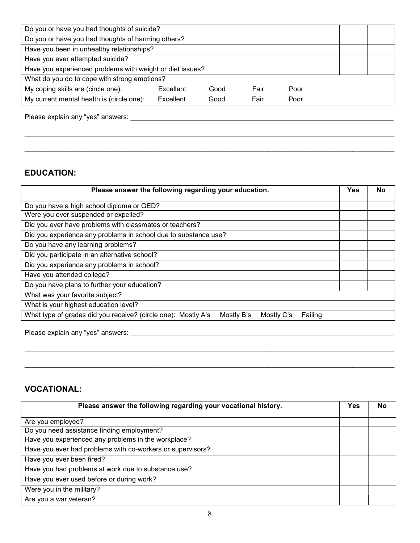$\mathcal{L}_\mathcal{L} = \mathcal{L}_\mathcal{L} = \mathcal{L}_\mathcal{L} = \mathcal{L}_\mathcal{L} = \mathcal{L}_\mathcal{L} = \mathcal{L}_\mathcal{L} = \mathcal{L}_\mathcal{L} = \mathcal{L}_\mathcal{L} = \mathcal{L}_\mathcal{L} = \mathcal{L}_\mathcal{L} = \mathcal{L}_\mathcal{L} = \mathcal{L}_\mathcal{L} = \mathcal{L}_\mathcal{L} = \mathcal{L}_\mathcal{L} = \mathcal{L}_\mathcal{L} = \mathcal{L}_\mathcal{L} = \mathcal{L}_\mathcal{L}$ 

Please explain any "yes" answers: \_\_\_\_\_\_\_\_\_\_\_\_\_\_\_\_\_\_\_\_\_\_\_\_\_\_\_\_\_\_\_\_\_\_\_\_\_\_\_\_\_\_\_\_\_\_\_\_\_\_\_\_\_\_\_\_\_\_\_\_\_\_\_\_\_\_\_\_\_

#### EDUCATION:

| Please answer the following regarding your education.                                                |  |  |  |  |
|------------------------------------------------------------------------------------------------------|--|--|--|--|
| Do you have a high school diploma or GED?                                                            |  |  |  |  |
| Were you ever suspended or expelled?                                                                 |  |  |  |  |
| Did you ever have problems with classmates or teachers?                                              |  |  |  |  |
| Did you experience any problems in school due to substance use?                                      |  |  |  |  |
| Do you have any learning problems?                                                                   |  |  |  |  |
| Did you participate in an alternative school?                                                        |  |  |  |  |
| Did you experience any problems in school?                                                           |  |  |  |  |
| Have you attended college?                                                                           |  |  |  |  |
| Do you have plans to further your education?                                                         |  |  |  |  |
| What was your favorite subject?                                                                      |  |  |  |  |
| What is your highest education level?                                                                |  |  |  |  |
| What type of grades did you receive? (circle one): Mostly A's<br>Mostly B's<br>Mostly C's<br>Failing |  |  |  |  |

 $\mathcal{L}_\mathcal{L} = \mathcal{L}_\mathcal{L} = \mathcal{L}_\mathcal{L} = \mathcal{L}_\mathcal{L} = \mathcal{L}_\mathcal{L} = \mathcal{L}_\mathcal{L} = \mathcal{L}_\mathcal{L} = \mathcal{L}_\mathcal{L} = \mathcal{L}_\mathcal{L} = \mathcal{L}_\mathcal{L} = \mathcal{L}_\mathcal{L} = \mathcal{L}_\mathcal{L} = \mathcal{L}_\mathcal{L} = \mathcal{L}_\mathcal{L} = \mathcal{L}_\mathcal{L} = \mathcal{L}_\mathcal{L} = \mathcal{L}_\mathcal{L}$ 

Please explain any "yes" answers: \_\_\_\_\_\_\_\_\_\_\_\_\_\_\_\_\_\_\_\_\_\_\_\_\_\_\_\_\_\_\_\_\_\_\_\_\_\_\_\_\_\_\_\_\_\_\_\_\_\_\_\_\_\_\_\_\_\_\_\_\_\_\_\_\_\_\_\_\_

#### VOCATIONAL:

| Please answer the following regarding your vocational history. | Yes | <b>No</b> |
|----------------------------------------------------------------|-----|-----------|
| Are you employed?                                              |     |           |
| Do you need assistance finding employment?                     |     |           |
| Have you experienced any problems in the workplace?            |     |           |
| Have you ever had problems with co-workers or supervisors?     |     |           |
| Have you ever been fired?                                      |     |           |
| Have you had problems at work due to substance use?            |     |           |
| Have you ever used before or during work?                      |     |           |
| Were you in the military?                                      |     |           |
| Are you a war veteran?                                         |     |           |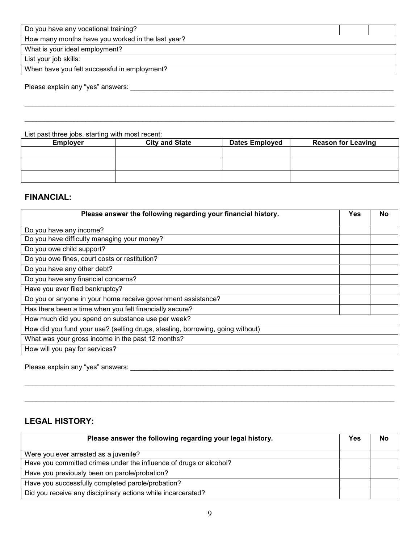Do you have any vocational training?

How many months have you worked in the last year?

What is your ideal employment?

List your job skills:

When have you felt successful in employment?

Please explain any "yes" answers: \_\_\_\_\_\_\_\_\_\_\_\_\_\_\_\_\_\_\_\_\_\_\_\_\_\_\_\_\_\_\_\_\_\_\_\_\_\_\_\_\_\_\_\_\_\_\_\_\_\_\_\_\_\_\_\_\_\_\_\_\_\_\_\_\_\_\_\_\_

List past three jobs, starting with most recent:

| <b>Employer</b> | <b>City and State</b> | <b>Dates Employed</b> | <b>Reason for Leaving</b> |
|-----------------|-----------------------|-----------------------|---------------------------|
|                 |                       |                       |                           |
|                 |                       |                       |                           |
|                 |                       |                       |                           |

 $\mathcal{L}_\mathcal{L} = \mathcal{L}_\mathcal{L} = \mathcal{L}_\mathcal{L} = \mathcal{L}_\mathcal{L} = \mathcal{L}_\mathcal{L} = \mathcal{L}_\mathcal{L} = \mathcal{L}_\mathcal{L} = \mathcal{L}_\mathcal{L} = \mathcal{L}_\mathcal{L} = \mathcal{L}_\mathcal{L} = \mathcal{L}_\mathcal{L} = \mathcal{L}_\mathcal{L} = \mathcal{L}_\mathcal{L} = \mathcal{L}_\mathcal{L} = \mathcal{L}_\mathcal{L} = \mathcal{L}_\mathcal{L} = \mathcal{L}_\mathcal{L}$ 

 $\mathcal{L}_\mathcal{L} = \{ \mathcal{L}_\mathcal{L} = \{ \mathcal{L}_\mathcal{L} = \{ \mathcal{L}_\mathcal{L} = \{ \mathcal{L}_\mathcal{L} = \{ \mathcal{L}_\mathcal{L} = \{ \mathcal{L}_\mathcal{L} = \{ \mathcal{L}_\mathcal{L} = \{ \mathcal{L}_\mathcal{L} = \{ \mathcal{L}_\mathcal{L} = \{ \mathcal{L}_\mathcal{L} = \{ \mathcal{L}_\mathcal{L} = \{ \mathcal{L}_\mathcal{L} = \{ \mathcal{L}_\mathcal{L} = \{ \mathcal{L}_\mathcal{$ 

#### FINANCIAL:

| Please answer the following regarding your financial history.                  | <b>Yes</b> | No |
|--------------------------------------------------------------------------------|------------|----|
| Do you have any income?                                                        |            |    |
| Do you have difficulty managing your money?                                    |            |    |
| Do you owe child support?                                                      |            |    |
| Do you owe fines, court costs or restitution?                                  |            |    |
| Do you have any other debt?                                                    |            |    |
| Do you have any financial concerns?                                            |            |    |
| Have you ever filed bankruptcy?                                                |            |    |
| Do you or anyone in your home receive government assistance?                   |            |    |
| Has there been a time when you felt financially secure?                        |            |    |
| How much did you spend on substance use per week?                              |            |    |
| How did you fund your use? (selling drugs, stealing, borrowing, going without) |            |    |
| What was your gross income in the past 12 months?                              |            |    |
| How will you pay for services?                                                 |            |    |

Please explain any "yes" answers: **We are all the explanation of the explanation** of the explanation of the explanation of the explanation of the explanation of the explanation of the explanation of the explanation of the

#### LEGAL HISTORY:

| Please answer the following regarding your legal history.          | Yes | No |
|--------------------------------------------------------------------|-----|----|
| Were you ever arrested as a juvenile?                              |     |    |
| Have you committed crimes under the influence of drugs or alcohol? |     |    |
| Have you previously been on parole/probation?                      |     |    |
| Have you successfully completed parole/probation?                  |     |    |
| Did you receive any disciplinary actions while incarcerated?       |     |    |

 $\mathcal{L}_\mathcal{L} = \mathcal{L}_\mathcal{L} = \mathcal{L}_\mathcal{L} = \mathcal{L}_\mathcal{L} = \mathcal{L}_\mathcal{L} = \mathcal{L}_\mathcal{L} = \mathcal{L}_\mathcal{L} = \mathcal{L}_\mathcal{L} = \mathcal{L}_\mathcal{L} = \mathcal{L}_\mathcal{L} = \mathcal{L}_\mathcal{L} = \mathcal{L}_\mathcal{L} = \mathcal{L}_\mathcal{L} = \mathcal{L}_\mathcal{L} = \mathcal{L}_\mathcal{L} = \mathcal{L}_\mathcal{L} = \mathcal{L}_\mathcal{L}$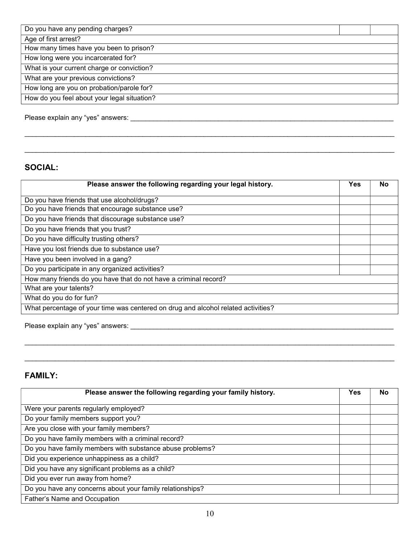| Do you have any pending charges?            |  |  |
|---------------------------------------------|--|--|
| Age of first arrest?                        |  |  |
| How many times have you been to prison?     |  |  |
| How long were you incarcerated for?         |  |  |
| What is your current charge or conviction?  |  |  |
| What are your previous convictions?         |  |  |
| How long are you on probation/parole for?   |  |  |
| How do you feel about your legal situation? |  |  |
|                                             |  |  |

Please explain any "yes" answers: \_\_\_\_\_\_\_\_\_\_\_\_\_\_\_\_\_\_\_\_\_\_\_\_\_\_\_\_\_\_\_\_\_\_\_\_\_\_\_\_\_\_\_\_\_\_\_\_\_\_\_\_\_\_\_\_\_\_\_\_\_\_\_\_\_\_\_\_\_

## SOCIAL:

| Please answer the following regarding your legal history.                         | Yes | No |
|-----------------------------------------------------------------------------------|-----|----|
| Do you have friends that use alcohol/drugs?                                       |     |    |
| Do you have friends that encourage substance use?                                 |     |    |
| Do you have friends that discourage substance use?                                |     |    |
| Do you have friends that you trust?                                               |     |    |
| Do you have difficulty trusting others?                                           |     |    |
| Have you lost friends due to substance use?                                       |     |    |
| Have you been involved in a gang?                                                 |     |    |
| Do you participate in any organized activities?                                   |     |    |
| How many friends do you have that do not have a criminal record?                  |     |    |
| What are your talents?                                                            |     |    |
| What do you do for fun?                                                           |     |    |
| What percentage of your time was centered on drug and alcohol related activities? |     |    |

\_\_\_\_\_\_\_\_\_\_\_\_\_\_\_\_\_\_\_\_\_\_\_\_\_\_\_\_\_\_\_\_\_\_\_\_\_\_\_\_\_\_\_\_\_\_\_\_\_\_\_\_\_\_\_\_\_\_\_\_\_\_\_\_\_\_\_\_\_\_\_\_\_\_\_\_\_\_\_\_\_\_\_\_\_\_\_\_\_\_\_\_\_\_\_\_\_

Please explain any "yes" answers: \_\_\_\_\_\_\_\_\_\_\_\_\_\_\_\_\_\_\_\_\_\_\_\_\_\_\_\_\_\_\_\_\_\_\_\_\_\_\_\_\_\_\_\_\_\_\_\_\_\_\_\_\_\_\_\_\_\_\_\_\_\_\_\_\_\_\_\_\_

## FAMILY:

| Please answer the following regarding your family history. | Yes | No |
|------------------------------------------------------------|-----|----|
| Were your parents regularly employed?                      |     |    |
| Do your family members support you?                        |     |    |
| Are you close with your family members?                    |     |    |
| Do you have family members with a criminal record?         |     |    |
| Do you have family members with substance abuse problems?  |     |    |
| Did you experience unhappiness as a child?                 |     |    |
| Did you have any significant problems as a child?          |     |    |
| Did you ever run away from home?                           |     |    |
| Do you have any concerns about your family relationships?  |     |    |
| Father's Name and Occupation                               |     |    |